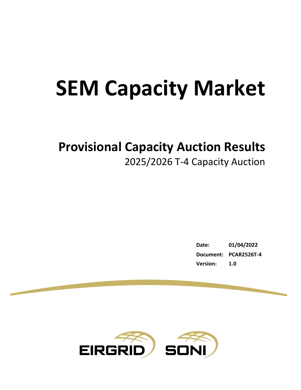# **SEM Capacity Market**

## **Provisional Capacity Auction Results**

2025/2026 T-4 Capacity Auction

**Date: 01/04/2022 Document: PCAR2526T-4 Version: 1.0**

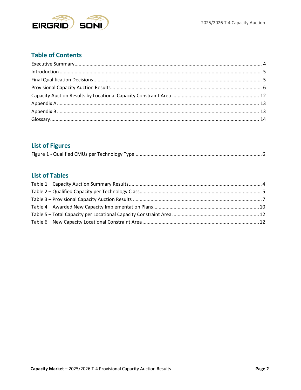

## **Table of Contents**

## **List of Figures**

|--|--|

## **List of Tables**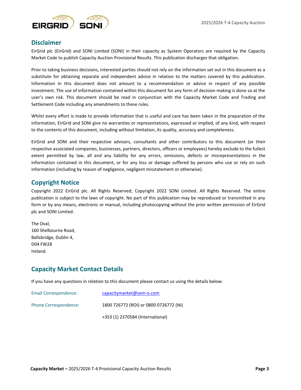

#### **Disclaimer**

EirGrid plc (EirGrid) and SONI Limited (SONI) in their capacity as System Operators are required by the Capacity Market Code to publish Capacity Auction Provisional Results. This publication discharges that obligation.

Prior to taking business decisions, interested parties should not rely on the information set out in this document as a substitute for obtaining separate and independent advice in relation to the matters covered by this publication. Information in this document does not amount to a recommendation or advice in respect of any possible investment. The use of information contained within this document for any form of decision making is done so at the user's own risk. This document should be read in conjunction with the Capacity Market Code and Trading and Settlement Code including any amendments to these rules.

Whilst every effort is made to provide information that is useful and care has been taken in the preparation of the information, EirGrid and SONI give no warranties or representations, expressed or implied, of any kind, with respect to the contents of this document, including without limitation, its quality, accuracy and completeness.

EirGrid and SONI and their respective advisers, consultants and other contributors to this document (or their respective associated companies, businesses, partners, directors, officers or employees) hereby exclude to the fullest extent permitted by law, all and any liability for any errors, omissions, defects or misrepresentations in the information contained in this document, or for any loss or damage suffered by persons who use or rely on such information (including by reason of negligence, negligent misstatement or otherwise).

#### **Copyright Notice**

Copyright 2022 EirGrid plc. All Rights Reserved; Copyright 2022 SONI Limited. All Rights Reserved. The entire publication is subject to the laws of copyright. No part of this publication may be reproduced or transmitted in any form or by any means, electronic or manual, including photocopying without the prior written permission of EirGrid plc and SONI Limited.

The Oval, 160 Shelbourne Road, Ballsbridge, Dublin 4, D04 FW28 Ireland.

#### **Capacity Market Contact Details**

If you have any questions in relation to this document please contact us using the details below:

| Email Correspondence: | capacitymarket@sem-o.com               |
|-----------------------|----------------------------------------|
| Phone Correspondence: | 1800 726772 (ROI) or 0800 0726772 (NI) |
|                       | +353 (1) 2370584 (International)       |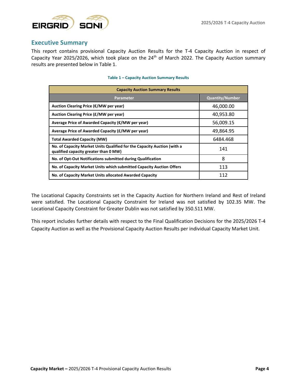

#### <span id="page-3-0"></span>**Executive Summary**

This report contains provisional Capacity Auction Results for the T-4 Capacity Auction in respect of Capacity Year 2025/2026, which took place on the 24<sup>th</sup> of March 2022. The Capacity Auction summary results are presented below in [Table 1.](#page-3-1)

<span id="page-3-1"></span>

| <b>Capacity Auction Summary Results</b>                                                                          |                        |  |  |  |  |  |  |
|------------------------------------------------------------------------------------------------------------------|------------------------|--|--|--|--|--|--|
| Parameter                                                                                                        | <b>Quantity/Number</b> |  |  |  |  |  |  |
| Auction Clearing Price (€/MW per year)                                                                           | 46,000.00              |  |  |  |  |  |  |
| Auction Clearing Price (£/MW per year)                                                                           | 40,953.80              |  |  |  |  |  |  |
| Average Price of Awarded Capacity (€/MW per year)                                                                | 56,009.15              |  |  |  |  |  |  |
| Average Price of Awarded Capacity (£/MW per year)                                                                | 49,864.95              |  |  |  |  |  |  |
| Total Awarded Capacity (MW)                                                                                      | 6484.468               |  |  |  |  |  |  |
| No. of Capacity Market Units Qualified for the Capacity Auction (with a<br>qualified capacity greater than 0 MW) | 141                    |  |  |  |  |  |  |
| No. of Opt-Out Notifications submitted during Qualification                                                      | 8                      |  |  |  |  |  |  |
| No. of Capacity Market Units which submitted Capacity Auction Offers                                             | 113                    |  |  |  |  |  |  |
| No. of Capacity Market Units allocated Awarded Capacity                                                          | 112                    |  |  |  |  |  |  |

#### **Table 1 – Capacity Auction Summary Results**

The Locational Capacity Constraints set in the Capacity Auction for Northern Ireland and Rest of Ireland were satisfied. The Locational Capacity Constraint for Ireland was not satisfied by 102.35 MW. The Locational Capacity Constraint for Greater Dublin was not satisfied by 350.511 MW.

This report includes further details with respect to the Final Qualification Decisions for the 2025/2026 T-4 Capacity Auction as well as the Provisional Capacity Auction Results per individual Capacity Market Unit.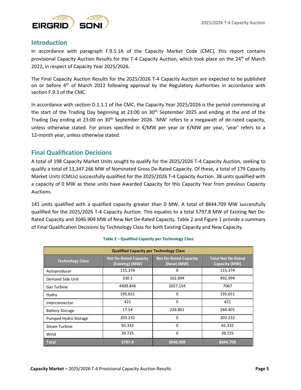

#### <span id="page-4-0"></span>**Introduction**

In accordance with paragraph F.9.5.1A of the Capacity Market Code (CMC), this report contains provisional Capacity Auction Results for the T-4 Capacity Auction, which took place on the 24<sup>th</sup> of March 2022, in respect of Capacity Year 2025/2026.

The Final Capacity Auction Results for the 2025/2026 T-4 Capacity Auction are expected to be published on or before 4<sup>th</sup> of March 2022 following approval by the Regulatory Authorities in accordance with section F.9.3 of the CMC.

In accordance with section D.1.1.1 of the CMC, the Capacity Year 2025/2026 is the period commencing at the start of the Trading Day beginning at 23:00 on 30<sup>th</sup> September 2025 and ending at the end of the Trading Day ending at 23:00 on  $30<sup>th</sup>$  September 2026. 'MW' refers to a megawatt of de-rated capacity, unless otherwise stated. For prices specified in  $E/MW$  per year or  $E/MW$  per year, 'year' refers to a 12-month year, unless otherwise stated.

#### <span id="page-4-1"></span>**Final Qualification Decisions**

A total of 198 Capacity Market Units sought to qualify for the 2025/2026 T-4 Capacity Auction, seeking to qualify a total of 13,347.266 MW of Nominated Gross De-Rated Capacity. Of these, a total of 179 Capacity Market Units (CMUs) successfully qualified for the 2025/2026 T-4 Capacity Auction. 38 units qualified with a capacity of 0 MW as these units have Awarded Capacity for this Capacity Year from previous Capacity Auctions.

141 units qualified with a qualified capacity greater than 0 MW. A total of 8844.709 MW successfully qualified for the 2025/2026 T-4 Capacity Auction. This equates to a total 5797.8 MW of Existing Net De-Rated Capacity and 3046.909 MW of New Net De-Rated Capacity. Table 2 and Figure 1 provide a summary of Final Qualification Decisions by Technology Class for both Existing Capacity and New Capacity.

<span id="page-4-2"></span>

| <b>Qualified Capacity per Technology Class</b> |                                                 |                                            |                                            |  |  |  |  |  |  |
|------------------------------------------------|-------------------------------------------------|--------------------------------------------|--------------------------------------------|--|--|--|--|--|--|
| <b>Technology Class</b>                        | <b>Net De-Rated Capacity</b><br>(Existing) (MW) | <b>Net De-Rated Capacity</b><br>(New) (MW) | <b>Total Net De-Rated</b><br>Capacity (MW) |  |  |  |  |  |  |
| Autoproducer                                   | 115.374                                         | O                                          | 115.374                                    |  |  |  |  |  |  |
| Demand Side Unit                               | 330.1                                           | 162.894                                    | 492.994                                    |  |  |  |  |  |  |
| Gas Turbine                                    | 4409.846                                        | 2657.154                                   | 7067                                       |  |  |  |  |  |  |
| Hydro                                          | 195.651                                         | 0                                          | 195.651                                    |  |  |  |  |  |  |
| Interconnector                                 | 421                                             | $\Omega$                                   | 421                                        |  |  |  |  |  |  |
| <b>Battery Storage</b>                         | 17.54                                           | 226.861                                    | 244.401                                    |  |  |  |  |  |  |
| Pumped Hydro Storage                           | 203.232                                         | 0                                          | 203.232                                    |  |  |  |  |  |  |
| <b>Steam Turbine</b>                           | 65.332                                          | 0                                          | 65.332                                     |  |  |  |  |  |  |
| Wind                                           | 39.725                                          | $\Omega$                                   | 39.725                                     |  |  |  |  |  |  |
| <b>Total</b>                                   | 5797.8                                          | 3046.909                                   | 8844.709                                   |  |  |  |  |  |  |

#### **Table 2 – Qualified Capacity per Technology Class**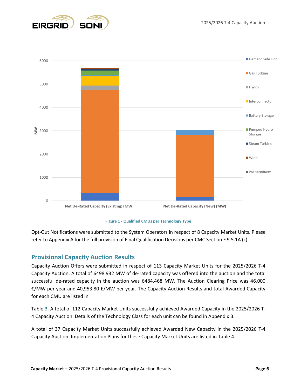



**Figure 1 - Qualified CMUs per Technology Type**

<span id="page-5-1"></span>Opt-Out Notifications were submitted to the System Operators in respect of 8 Capacity Market Units. Please refer to Appendix A for the full provision of Final Qualification Decisions per CMC Section F.9.5.1A (c).

#### <span id="page-5-0"></span>**Provisional Capacity Auction Results**

Capacity Auction Offers were submitted in respect of 113 Capacity Market Units for the 2025/2026 T-4 Capacity Auction. A total of 6498.932 MW of de-rated capacity was offered into the auction and the total successful de-rated capacity in the auction was 6484.468 MW. The Auction Clearing Price was 46,000 €/MW per year and 40,953.80 £/MW per year. The Capacity Auction Results and total Awarded Capacity for each CMU are listed i[n](#page-5-2)

[Table 3.](#page-5-2) A total of 112 Capacity Market Units successfully achieved Awarded Capacity in the 2025/2026 T-4 Capacity Auction. Details of the Technology Class for each unit can be found in Appendix B.

<span id="page-5-2"></span>A total of 37 Capacity Market Units successfully achieved Awarded New Capacity in the 2025/2026 T-4 Capacity Auction. Implementation Plans for these Capacity Market Units are listed in Table 4.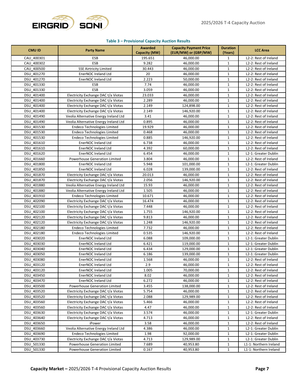

#### **Table 3 – Provisional Capacity Auction Results**

| <b>CMU ID</b> | <b>Party Name</b>                     | <b>Awarded</b><br>Capacity (MW) | <b>Capacity Payment Price</b><br>(EUR/MW) or (GBP/MW) | <b>Duration</b><br>(Years) | <b>LCC Area</b>        |
|---------------|---------------------------------------|---------------------------------|-------------------------------------------------------|----------------------------|------------------------|
| CAU 400301    | ESB                                   | 195.651                         | 46,000.00                                             | $\mathbf{1}$               | L2-2: Rest of Ireland  |
| CAU 400302    | <b>ESB</b>                            | 9.282                           | 46,000.00                                             | $\mathbf{1}$               | L2-2: Rest of Ireland  |
| CAU 400500    | <b>SSE Airtricity Limited</b>         | 30.443                          | 46,000.00                                             | $\mathbf{1}$               | L2-2: Rest of Ireland  |
| DSU 401270    | EnerNOC Ireland Ltd                   | 20                              | 46,000.00                                             | $\mathbf{1}$               | L2-2: Rest of Ireland  |
| DSU 401270    | EnerNOC Ireland Ltd                   | 2.223                           | 50,000.00                                             | $\mathbf{1}$               | L2-2: Rest of Ireland  |
| DSU 401330    | ESB                                   | 7.74                            | 46,000.00                                             | $\mathbf{1}$               | L2-2: Rest of Ireland  |
| DSU 401330    | <b>ESB</b>                            | 3.059                           | 46,000.00                                             | $\mathbf{1}$               | L2-2: Rest of Ireland  |
| DSU 401400    | Electricity Exchange DAC t/a Viotas   | 23.033                          | 46,000.00                                             | $\mathbf{1}$               | L2-2: Rest of Ireland  |
| DSU 401400    | Electricity Exchange DAC t/a Viotas   | 2.289                           | 46,000.00                                             | $\mathbf{1}$               | L2-2: Rest of Ireland  |
| DSU 401400    | Electricity Exchange DAC t/a Viotas   | 2.149                           | 124,898.00                                            | $\mathbf{1}$               | L2-2: Rest of Ireland  |
| DSU 401400    | Electricity Exchange DAC t/a Viotas   | 2.149                           | 146,920.00                                            | $\mathbf{1}$               | L2-2: Rest of Ireland  |
| DSU 401490    | Veolia Alternative Energy Ireland Ltd | 3.41                            | 46,000.00                                             | 1                          | L2-2: Rest of Ireland  |
| DSU 401490    | Veolia Alternative Energy Ireland Ltd | 0.895                           | 46,000.00                                             | $\mathbf{1}$               | L2-2: Rest of Ireland  |
| DSU 401530    | Endeco Technologies Limited           | 19.929                          | 46,000.00                                             | $\mathbf 1$                | L2-2: Rest of Ireland  |
| DSU 401530    | <b>Endeco Technologies Limited</b>    | 0.468                           | 46,000.00                                             | $\mathbf 1$                | L2-2: Rest of Ireland  |
| DSU 401530    | <b>Endeco Technologies Limited</b>    | 0.885                           | 146,920.00                                            | $\mathbf{1}$               | L2-2: Rest of Ireland  |
| DSU 401610    | EnerNOC Ireland Ltd                   | 6.738                           | 46,000.00                                             | $\mathbf{1}$               | L2-2: Rest of Ireland  |
| DSU 401610    | EnerNOC Ireland Ltd                   | 4.392                           | 60,000.00                                             | $\mathbf{1}$               | L2-2: Rest of Ireland  |
| DSU 401620    | EnerNOC Ireland Ltd                   | 6.454                           | 46,000.00                                             | $\mathbf 1$                | L2-1: Greater Dublin   |
| DSU 401660    | Powerhouse Generation Limited         | 3.804                           | 46,000.00                                             | $\mathbf{1}$               | L2-2: Rest of Ireland  |
| DSU 401800    | EnerNOC Ireland Ltd                   | 5.948                           | 101,000.00                                            | $\mathbf{1}$               | L2-1: Greater Dublin   |
| DSU 401850    | <b>EnerNOC Ireland Ltd</b>            | 6.028                           | 139,000.00                                            | $\mathbf{1}$               | L2-2: Rest of Ireland  |
| DSU 401870    | Electricity Exchange DAC t/a Viotas   | 20.013                          | 46,000.00                                             | $\mathbf{1}$               | L2-2: Rest of Ireland  |
| DSU 401870    | Electricity Exchange DAC t/a Viotas   | 2.056                           | 146,920.00                                            | $\mathbf 1$                | L2-2: Rest of Ireland  |
| DSU 401880    | Veolia Alternative Energy Ireland Ltd | 15.93                           | 46,000.00                                             | $\mathbf{1}$               | L2-2: Rest of Ireland  |
| DSU 401880    | Veolia Alternative Energy Ireland Ltd | 1.505                           | 46,000.00                                             | $\mathbf{1}$               | L2-2: Rest of Ireland  |
| DSU 401910    | <b>Endeco Technologies Limited</b>    | 10.671                          | 46,000.00                                             | $\mathbf{1}$               | L2-2: Rest of Ireland  |
| DSU 402090    | Electricity Exchange DAC t/a Viotas   | 16.474                          | 46,000.00                                             | $\mathbf{1}$               | L2-2: Rest of Ireland  |
| DSU 402100    | Electricity Exchange DAC t/a Viotas   | 7.448                           | 46,000.00                                             | $\mathbf{1}$               | L2-2: Rest of Ireland  |
| DSU 402100    | Electricity Exchange DAC t/a Viotas   | 1.755                           | 146,920.00                                            | $\mathbf{1}$               | L2-2: Rest of Ireland  |
| DSU 402120    | Electricity Exchange DAC t/a Viotas   | 9.813                           | 46,000.00                                             | $\mathbf{1}$               | L2-2: Rest of Ireland  |
| DSU 402120    | Electricity Exchange DAC t/a Viotas   | 1.248                           | 146,920.00                                            | 1                          | L2-2: Rest of Ireland  |
| DSU 402180    | <b>Endeco Technologies Limited</b>    | 7.732                           | 46,000.00                                             | $\mathbf{1}$               | L2-2: Rest of Ireland  |
| DSU 402180    | <b>Endeco Technologies Limited</b>    | 0.535                           | 146,920.00                                            | $\mathbf{1}$               | L2-2: Rest of Ireland  |
| DSU 403020    | EnerNOC Ireland Ltd                   | 6.088                           | 109,000.00                                            | $\mathbf{1}$               | L2-1: Greater Dublin   |
| DSU 403030    | EnerNOC Ireland Ltd                   | 6.421                           | 119,000.00                                            | $\mathbf 1$                | L2-1: Greater Dublin   |
| DSU 403040    | EnerNOC Ireland Ltd                   | 6.434                           | 129,000.00                                            | $\mathbf{1}$               | L2-1: Greater Dublin   |
| DSU 403050    | EnerNOC Ireland Ltd                   | 6.186                           | 139,000.00                                            | $\mathbf{1}$               | L2-1: Greater Dublin   |
| DSU 403080    | EnerNOC Ireland Ltd                   | 1.568                           | 46,000.00                                             | $\mathbf{1}$               | L2-2: Rest of Ireland  |
| DSU 403120    | EnerNOC Ireland Ltd                   | 2.9                             | 46,000.00                                             | $\mathbf{1}$               | L2-2: Rest of Ireland  |
| DSU 403120    | EnerNOC Ireland Ltd                   | 1.005                           | 70,000.00                                             | 1                          | L2-2: Rest of Ireland  |
| DSU 403450    | EnerNOC Ireland Ltd                   | 8.02                            | 46,000.00                                             | 1                          | L2-2: Rest of Ireland  |
| DSU 403470    | EnerNOC Ireland Ltd                   | 6.272                           | 46,000.00                                             | 1                          | L2-2: Rest of Ireland  |
| DSU 403500    | Powerhouse Generation Limited         | 3.455                           | 138,000.00                                            | $\mathbf 1$                | L2-2: Rest of Ireland  |
| DSU 403520    | Electricity Exchange DAC t/a Viotas   | 5.754                           | 46,000.00                                             | $\mathbf{1}$               | L2-2: Rest of Ireland  |
| DSU 403520    | Electricity Exchange DAC t/a Viotas   | 2.088                           | 129,989.00                                            | $\mathbf{1}$               | L2-2: Rest of Ireland  |
| DSU 403560    | Electricity Exchange DAC t/a Viotas   | 5.466                           | 46,000.00                                             | $\mathbf{1}$               | L2-2: Rest of Ireland  |
| DSU_403560    | Electricity Exchange DAC t/a Viotas   | 4.47                            | 46,000.00                                             | $\mathbf{1}$               | L2-2: Rest of Ireland  |
| DSU 403630    | Electricity Exchange DAC t/a Viotas   | 3.574                           | 46,000.00                                             | $\mathbf 1$                | L2-1: Greater Dublin   |
| DSU 403640    | Electricity Exchange DAC t/a Viotas   | 4.713                           | 46,000.00                                             | $\mathbf{1}$               | L2-2: Rest of Ireland  |
| DSU 403650    | iPower                                | 3.58                            | 46,000.00                                             | $\mathbf{1}$               | L2-2: Rest of Ireland  |
| DSU 403660    | Veolia Alternative Energy Ireland Ltd | 4.386                           | 46,000.00                                             | $\mathbf{1}$               | L2-1: Greater Dublin   |
| DSU 403690    | <b>Endeco Technologies Limited</b>    | 1.98                            | 92,000.00                                             | $\mathbf{1}$               | L2-1: Greater Dublin   |
| DSU 403730    | Electricity Exchange DAC t/a Viotas   | 4.713                           | 129,989.00                                            | $\mathbf{1}$               | L2-1: Greater Dublin   |
| DSU 501330    | Powerhouse Generation Limited         | 7.689                           | 40,953.80                                             | $\mathbf{1}$               | L1-1: Northern Ireland |
| DSU_501330    | Powerhouse Generation Limited         | 0.167                           | 40,953.80                                             | $\mathbf{1}$               | L1-1: Northern Ireland |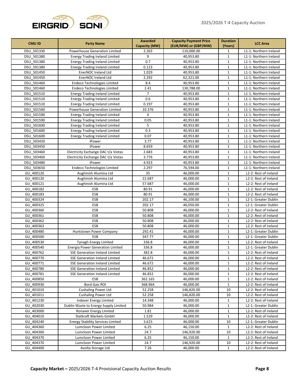

| <b>CMU ID</b><br><b>Party Name</b> |                                          | <b>Awarded</b><br><b>Capacity Payment Price</b> |                      | <b>Duration</b> | <b>LCC Area</b>                                |  |
|------------------------------------|------------------------------------------|-------------------------------------------------|----------------------|-----------------|------------------------------------------------|--|
|                                    |                                          | Capacity (MW)                                   | (EUR/MW) or (GBP/MW) | (Years)         |                                                |  |
| DSU 501330                         | Powerhouse Generation Limited            | 2.263                                           | 110,000.00           | $\mathbf{1}$    | L1-1: Northern Ireland                         |  |
| DSU 501380                         | <b>Energy Trading Ireland Limited</b>    | 9                                               | 40,953.80            | $\mathbf{1}$    | L1-1: Northern Ireland                         |  |
| DSU 501380                         | <b>Energy Trading Ireland Limited</b>    | 0.7                                             | 40,953.80            | $\mathbf{1}$    | L1-1: Northern Ireland                         |  |
| DSU 501380                         | <b>Energy Trading Ireland Limited</b>    | 0.123                                           | 40,953.80            | $\mathbf{1}$    | L1-1: Northern Ireland                         |  |
| DSU 501450                         | EnerNOC Ireland Ltd                      | 1.029                                           | 40,953.80            | $\mathbf{1}$    | L1-1: Northern Ireland                         |  |
| DSU 501450                         | EnerNOC Ireland Ltd                      | 2.292                                           | 62,321.00            | $\mathbf{1}$    | L1-1: Northern Ireland                         |  |
| DSU 501460                         | <b>Endeco Technologies Limited</b>       | 8.4                                             | 40,953.80            | $\mathbf{1}$    | L1-1: Northern Ireland                         |  |
| DSU 501460                         | <b>Endeco Technologies Limited</b>       | 2.41                                            | 130,788.00           | $\mathbf{1}$    | L1-1: Northern Ireland                         |  |
| DSU 501510                         | <b>Energy Trading Ireland Limited</b>    | $\overline{7}$                                  | 40,953.80            | $\mathbf{1}$    | L1-1: Northern Ireland                         |  |
| DSU 501510                         | <b>Energy Trading Ireland Limited</b>    | 0.6                                             | 40,953.80            | $\mathbf{1}$    | L1-1: Northern Ireland                         |  |
| DSU 501510                         | <b>Energy Trading Ireland Limited</b>    | 0.197                                           | 40,953.80            | $\mathbf{1}$    | L1-1: Northern Ireland                         |  |
| DSU 501560                         | Powerhouse Generation Limited            | 10.376                                          | 40,953.80            | $\mathbf{1}$    | L1-1: Northern Ireland                         |  |
| DSU 501590                         | <b>Energy Trading Ireland Limited</b>    | 4                                               | 40,953.80            | $\mathbf{1}$    | L1-1: Northern Ireland                         |  |
| DSU 501590                         | <b>Energy Trading Ireland Limited</b>    | 0.05                                            | 40,953.80            | $\mathbf{1}$    | L1-1: Northern Ireland                         |  |
| DSU 501600                         | <b>Energy Trading Ireland Limited</b>    | 5                                               | 40,953.80            | $\mathbf{1}$    | L1-1: Northern Ireland                         |  |
| DSU 501600                         | <b>Energy Trading Ireland Limited</b>    | 0.3                                             | 40,953.80            | $\mathbf{1}$    | L1-1: Northern Ireland                         |  |
| DSU 501600                         | <b>Energy Trading Ireland Limited</b>    | 0.07                                            | 40,953.80            | $\mathbf{1}$    | L1-1: Northern Ireland                         |  |
| DSU 503420                         | iPower                                   | 3.77                                            | 40,953.80            | $\mathbf{1}$    | L1-1: Northern Ireland                         |  |
| DSU 503450                         | iPower                                   | 8.659                                           | 40,953.80            | $\mathbf{1}$    | L1-1: Northern Ireland                         |  |
| DSU 503460                         | Electricity Exchange DAC t/a Viotas      | 2.683                                           | 40,953.80            | $\mathbf{1}$    | L1-1: Northern Ireland                         |  |
| DSU 503460                         | Electricity Exchange DAC t/a Viotas      | 3.776                                           | 40,953.80            | $\mathbf{1}$    | L1-1: Northern Ireland                         |  |
| DSU 503480                         | iPower                                   | 4.923                                           | 40,953.80            | $\mathbf{1}$    | L1-1: Northern Ireland                         |  |
| DSU 503650                         | <b>Endeco Technologies Limited</b>       | 2.297                                           | 76,594.00            | $\mathbf{1}$    | L1-1: Northern Ireland                         |  |
| GU 400120                          | Aughinish Alumina Ltd                    | 35                                              | 46,000.00            | $\mathbf{1}$    | L2-2: Rest of Ireland                          |  |
| GU 400120                          | Aughinish Alumina Ltd                    | 22.687                                          | 46,000.00            | $\mathbf{1}$    | L2-2: Rest of Ireland                          |  |
| GU 400121                          | Aughinish Alumina Ltd                    | 57.687                                          | 46,000.00            | $\mathbf{1}$    | L2-2: Rest of Ireland                          |  |
| GU 400182                          | ESB                                      | 80.91                                           | 46,000.00            | $\mathbf{1}$    | L2-2: Rest of Ireland                          |  |
| GU 400183                          | <b>ESB</b>                               | 80.91                                           | 46,000.00            | $\mathbf{1}$    | L2-2: Rest of Ireland                          |  |
| GU 400324                          | <b>ESB</b>                               | 202.17                                          | 46,100.00            | $\mathbf{1}$    | L2-1: Greater Dublin                           |  |
| GU 400325                          | ESB                                      | 202.17                                          | 46,050.00            | $\mathbf{1}$    | L2-1: Greater Dublin                           |  |
| GU 400360                          | ESB                                      | 50.808                                          | 46,000.00            | $\mathbf{1}$    | L2-2: Rest of Ireland                          |  |
| GU 400361                          | ESB                                      | 50.808                                          | 46,000.00            | $\mathbf{1}$    | L2-2: Rest of Ireland                          |  |
| GU 400362                          | <b>ESB</b>                               | 50.808                                          | 46,000.00            | $\mathbf{1}$    | L2-2: Rest of Ireland                          |  |
| GU 400363                          | <b>ESB</b>                               | 50.808                                          | 46,000.00            | $\mathbf{1}$    | L2-2: Rest of Ireland                          |  |
| GU 400480                          | Huntstown Power Company                  | 292.41                                          | 46,000.00            | $\mathbf{1}$    | L2-1: Greater Dublin                           |  |
| GU 400500                          | ESB                                      | 347.77                                          | 46,000.00            | $\mathbf{1}$    | L2-1: Greater Dublin                           |  |
| GU 400530                          | Tynagh Energy Limited                    | 336.8                                           | 46,000.00            | $\mathbf{1}$    | L2-2: Rest of Ireland                          |  |
| GU 400540                          | <b>Energia Power Generation Limited</b>  | 336.8                                           | 46,000.00            | $\mathbf{1}$    | L2-1: Greater Dublin                           |  |
| GU 400762                          | <b>SSE Generation Ireland Limited</b>    | 382.8                                           | 46,000.00            | $\mathbf{1}$    | L2-2: Rest of Ireland                          |  |
| GU_400770                          | <b>SSE Generation Ireland Limited</b>    | 46.672                                          | 46,000.00            | $\mathbf 1$     | L2-2: Rest of Ireland                          |  |
| GU 400771                          | <b>SSE Generation Ireland Limited</b>    | 46.672                                          | 46,000.00            | $\mathbf 1$     | L2-2: Rest of Ireland                          |  |
| GU 400780                          | <b>SSE Generation Ireland Limited</b>    | 46.852                                          | 46,000.00            | $\mathbf{1}$    | L2-2: Rest of Ireland                          |  |
| GU 400781                          | <b>SSE Generation Ireland Limited</b>    | 46.852                                          | 46,000.00            | $\mathbf{1}$    | L2-2: Rest of Ireland                          |  |
| GU 400850                          | <b>ESB</b>                               |                                                 |                      | $\mathbf{1}$    |                                                |  |
| GU 400930                          | <b>Bord Gais ROI</b>                     | 362.165                                         | 46,000.00            |                 | L2-2: Rest of Ireland<br>L2-2: Rest of Ireland |  |
|                                    |                                          | 368.964                                         | 46,000.00            | $\mathbf{1}$    |                                                |  |
| GU 401010                          | <b>Cushaling Power Ltd</b>               | 52.258                                          | 146,820.00           | 10              | L2-2: Rest of Ireland                          |  |
| GU 401011                          | <b>Cushaling Power Ltd</b>               | 52.258                                          | 146,820.00           | 10              | L2-2: Rest of Ireland                          |  |
| GU 401230                          | Indaver Energy Limited                   | 14.348                                          | 46,000.00            | $\mathbf{1}$    | L2-2: Rest of Ireland                          |  |
| GU 402030                          | Dublin Waste to Energy Supply Limited    | 50.984                                          | 46,000.00            | $\mathbf{1}$    | L2-1: Greater Dublin                           |  |
| GU 403000                          | Ronaver Energy Limited                   | 1.81                                            | 46,000.00            | $\mathbf{1}$    | L2-2: Rest of Ireland                          |  |
| GU 404010                          | Statkraft Markets GmbH                   | 1.529                                           | 46,000.00            | $\mathbf{1}$    | L2-2: Rest of Ireland                          |  |
| GU 404240                          | <b>Energy Stability Services Limited</b> | 3.615                                           | 46,000.00            | 10              | L2-1: Greater Dublin                           |  |
| GU 404360                          | Lumcloon Power Limited                   | 6.25                                            | 46,150.00            | $\mathbf{1}$    | L2-2: Rest of Ireland                          |  |
| GU 404360                          | Lumcloon Power Limited                   | 24.7                                            | 146,920.00           | 10              | L2-2: Rest of Ireland                          |  |
| GU 404370                          | Lumcloon Power Limited                   | 6.25                                            | 46,150.00            | $\mathbf{1}$    | L2-2: Rest of Ireland                          |  |
| GU 404370                          | Lumcloon Power Limited                   | 24.7                                            | 146,920.00           | 10              | L2-2: Rest of Ireland                          |  |
| GU 404400                          | Avolta Storage Ltd                       | 7.26                                            | 46,000.00            | $\mathbf{1}$    | L2-2: Rest of Ireland                          |  |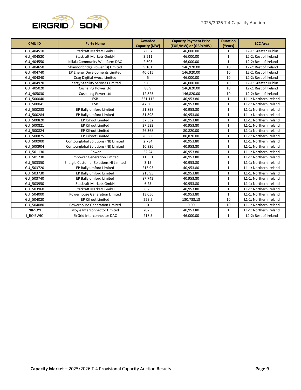

| <b>CMU ID</b>  | <b>Party Name</b>                        | <b>Awarded</b><br>Capacity (MW) | <b>Capacity Payment Price</b><br>(EUR/MW) or (GBP/MW) | <b>Duration</b><br>(Years) | <b>LCC Area</b>        |
|----------------|------------------------------------------|---------------------------------|-------------------------------------------------------|----------------------------|------------------------|
| GU 404510      | <b>Statkraft Markets GmbH</b>            | 2.057                           | 46,000.00                                             | $\mathbf{1}$               | L2-1: Greater Dublin   |
| GU 404520      | <b>Statkraft Markets GmbH</b>            | 3.511                           | 46,000.00                                             | $\mathbf 1$                | L2-2: Rest of Ireland  |
| GU 404550      | Killala Community Windfarm DAC           | 2.603                           | 46,000.00                                             | $\mathbf 1$                | L2-2: Rest of Ireland  |
| GU 404650      | Shannonbridge Power (B) Limited          | 9.101                           | 146,920.00                                            | 10                         | L2-2: Rest of Ireland  |
| GU 404740      | EP Energy Developments Limited           | 40.615                          | 146,920.00                                            | 10                         | L2-2: Rest of Ireland  |
| GU 404840      | Crag Digitial Avoca Limited              | 5                               | 46,000.00                                             | 10                         | L2-2: Rest of Ireland  |
| GU 404970      | <b>Energy Stability Services Limited</b> | 9.05                            | 46,000.00                                             | 10                         | L2-1: Greater Dublin   |
| GU 405020      | <b>Cushaling Power Ltd</b>               | 88.9                            | 146,820.00                                            | 10                         | L2-2: Rest of Ireland  |
| GU 405030      | <b>Cushaling Power Ltd</b>               | 12.825                          | 146,820.00                                            | 10                         | L2-2: Rest of Ireland  |
| GU 500040      | ESB                                      | 351.115                         | 40,953.80                                             | $\mathbf{1}$               | L1-1: Northern Ireland |
| GU 500041      | ESB                                      | 47.305                          | 40.953.80                                             | $\mathbf{1}$               | L1-1: Northern Ireland |
| GU 500283      | EP Ballylumford Limited                  | 51.898                          | 40,953.80                                             | $\mathbf{1}$               | L1-1: Northern Ireland |
| GU 500284      | EP Ballylumford Limited                  | 51.898                          | 40,953.80                                             | $\mathbf{1}$               | L1-1: Northern Ireland |
| GU 500820      | EP Kilroot Limited                       | 37.532                          | 40,953.80                                             | $\mathbf 1$                | L1-1: Northern Ireland |
| GU 500821      | <b>EP Kilroot Limited</b>                | 37.532                          | 40,953.80<br>$\mathbf{1}$                             |                            | L1-1: Northern Ireland |
| GU 500824      | EP Kilroot Limited                       | 26.368                          | 80,820.00                                             | $\mathbf{1}$               | L1-1: Northern Ireland |
| GU 500825      | EP Kilroot Limited                       | 26.368                          | 80,820.00                                             | $\mathbf{1}$               | L1-1: Northern Ireland |
| GU 500900      | Contourglobal Solutions (NI) Limited     | 2.734                           | 40,953.80                                             | $\mathbf{1}$               | L1-1: Northern Ireland |
| GU_500904      | Contourglobal Solutions (NI) Limited     | 10.936                          | 40,953.80                                             | $\mathbf{1}$               | L1-1: Northern Ireland |
| GU 501130      | iPower                                   | 52.24                           | 40,953.80                                             | $\mathbf 1$                | L1-1: Northern Ireland |
| GU 501230      | <b>Empower Generation Limited</b>        | 11.551                          | 40,953.80                                             | $\mathbf{1}$               | L1-1: Northern Ireland |
| GU 503350      | Energia Customer Solutions NI Limited    | 3.15                            | 40,953.80                                             | $\mathbf{1}$               | L1-1: Northern Ireland |
| GU 503720      | EP Ballylumford Limited                  | 215.95                          | 40,953.80                                             | $\mathbf{1}$               | L1-1: Northern Ireland |
| GU 503730      | EP Ballylumford Limited                  | 215.95                          | 40,953.80                                             | $\mathbf 1$                | L1-1: Northern Ireland |
| GU 503740      | EP Ballylumford Limited                  | 87.742                          | 40,953.80                                             | $\mathbf{1}$               | L1-1: Northern Ireland |
| GU 503950      | <b>Statkraft Markets GmbH</b>            | 6.25                            | 40,953.80                                             | $\mathbf{1}$               | L1-1: Northern Ireland |
| GU 503960      | <b>Statkraft Markets GmbH</b>            | 6.25                            | 40,953.80                                             | $\mathbf{1}$               | L1-1: Northern Ireland |
| GU 504000      | Powerhouse Generation Limited            | 13.056                          | 40,953.80                                             | $\mathbf{1}$               | L1-1: Northern Ireland |
| GU 504020      | EP Kilroot Limited                       | 259.5                           | 130,788.18                                            | 10                         | L1-1: Northern Ireland |
| GU 504080      | Powerhouse Generation Limited            | $\mathbf 0$                     | 0.00                                                  | 10                         | L1-1: Northern Ireland |
| I NIMOYLE      | Moyle Interconnector Limited             | 202.5                           | 40,953.80                                             | $\mathbf{1}$               | L1-1: Northern Ireland |
| <b>ROIEWIC</b> | EirGrid Interconnector DAC               | 218.5                           | 46,000.00                                             | $\mathbf{1}$               | L2-2: Rest of Ireland  |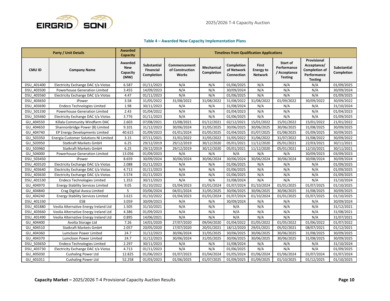

#### **Table 4 – Awarded New Capacity Implementation Plans**

<span id="page-9-0"></span>

|                      | <b>Party / Unit Details</b>              | <b>Awarded</b><br><b>Capacity</b>                | <b>Timelines from Qualification Applications</b> |                                          |                          |                                        |                                                    |                                                           |                                                                                     |                                  |
|----------------------|------------------------------------------|--------------------------------------------------|--------------------------------------------------|------------------------------------------|--------------------------|----------------------------------------|----------------------------------------------------|-----------------------------------------------------------|-------------------------------------------------------------------------------------|----------------------------------|
| <b>CMU ID</b>        | <b>Company Name</b>                      | <b>Awarded</b><br><b>New</b><br>Capacity<br>(MW) | <b>Substantial</b><br>Financial<br>Completion    | Commencement<br>of Construction<br>Works | Mechanical<br>Completion | Completion<br>of Network<br>Connection | <b>First</b><br><b>Energy to</b><br><b>Network</b> | Start of<br>Performance<br>/ Acceptance<br><b>Testing</b> | Provisional<br>Acceptance/<br><b>Completion of</b><br>Performance<br><b>Testing</b> | <b>Substantial</b><br>Completion |
| DSU_401400           | Electricity Exchange DAC t/a Viotas      | 6.587                                            | 01/11/2023                                       | N/A                                      | N/A                      | 01/06/2025                             | N/A                                                | N/A                                                       | N/A                                                                                 | 01/09/2025                       |
| DSU 403500           | Powerhouse Generation Limited            | 3.455                                            | 14/09/2023                                       | N/A                                      | N/A                      | 30/09/2024                             | N/A                                                | N/A                                                       | N/A                                                                                 | 30/09/2024                       |
| <b>DSU</b><br>403560 | Electricity Exchange DAC t/a Viotas      | 4.47                                             | 01/11/2023                                       | N/A                                      | N/A                      | 01/06/2025                             | N/A                                                | N/A                                                       | N/A                                                                                 | 01/09/2025                       |
| DSU 403650           | iPower                                   | 3.58                                             | 31/05/2022                                       | 31/08/2022                               | 31/08/2022               | 31/08/2022                             | 31/08/2022                                         | 01/09/2022                                                | 30/09/2022                                                                          | 30/09/2022                       |
| DSU 403690           | <b>Endeco Technologies Limited</b>       | 1.98                                             | 30/11/2023                                       | N/A                                      | N/A                      | 31/08/2024                             | N/A                                                | N/A                                                       | N/A                                                                                 | 31/10/2024                       |
| DSU 501330           | Powerhouse Generation Limited            | 2.43                                             | 01/04/2022                                       | N/A                                      | N/A                      | 01/04/2023                             | N/A                                                | N/A                                                       | N/A                                                                                 | 01/04/2023                       |
| DSU 503460           | Electricity Exchange DAC t/a Viotas      | 3.776                                            | 01/11/2023                                       | N/A                                      | N/A                      | 01/06/2025                             | N/A                                                | N/A                                                       | N/A                                                                                 | 01/09/2025                       |
| GU 404550            | Killala Community Windfarm DAC           | 2.603                                            | 07/08/2021                                       | 15/08/2021                               | 01/12/2021               | 02/12/2021                             | 15/01/2022                                         | 15/01/2022                                                | 15/01/2022                                                                          | 21/01/2022                       |
| GU 404650            | Shannonbridge Power (B) Limited          | 9.101                                            | 31/12/2023                                       | 30/06/2024                               | 31/05/2025               | 30/06/2025                             | 30/06/2025                                         | 30/06/2025                                                | 31/08/2025                                                                          | 30/09/2025                       |
| GU 404740            | EP Energy Developments Limited           | 40.615                                           | 01/09/2023                                       | 01/01/2024                               | 01/05/2025               | 01/04/2025                             | 01/07/2025                                         | 01/08/2025                                                | 01/09/2025                                                                          | 30/09/2025                       |
| GU 503350            | Energia Customer Solutions NI Limited    | 3.15                                             | 07/11/2021                                       | 31/01/2022                               | 31/05/2022               | 31/05/2022                             | 31/06/2022                                         | 31/07/2022                                                | 31/08/2022                                                                          | 30/09/2022                       |
| GU 503950            | <b>Statkraft Markets GmbH</b>            | 6.25                                             | 29/12/2019                                       | 29/12/2019                               | 30/12/2020               | 05/01/2021                             | 11/12/2020                                         | 05/01/2021                                                | 22/03/2021                                                                          | 30/11/2021                       |
| GU 503960            | Statkraft Markets GmbH                   | 6.25                                             | 29/12/2019                                       | 29/12/2019                               | 30/12/2020               | 05/01/2021                             | 11/12/2020                                         | 05/01/2021                                                | 12/10/2021                                                                          | 30/11/2021                       |
| GU_504000            | Powerhouse Generation Limited            | 13.056                                           | 01/09/2023                                       | N/A                                      | N/A                      | N/A                                    | N/A                                                | N/A                                                       | 30/09/2023                                                                          | 03/09/2023                       |
| DSU 503450           | iPower                                   | 8.659                                            | 30/09/2024                                       | 30/06/2024                               | 30/06/2024               | 30/06/2024                             | 30/06/2024                                         | 30/06/2024                                                | 30/08/2024                                                                          | 30/09/2024                       |
| 403520<br><b>DSU</b> | Electricity Exchange DAC t/a Viotas      | 2.088                                            | 01/11/2023                                       | N/A                                      | N/A                      | 01/06/2025                             | N/A                                                | N/A                                                       | N/A                                                                                 | 01/09/2025                       |
| DSU 403640           | Electricity Exchange DAC t/a Viotas      | 4.713                                            | 01/11/2023                                       | N/A                                      | N/A                      | 01/06/2025                             | N/A                                                | N/A                                                       | N/A                                                                                 | 01/09/2025                       |
| DSU 403630           | Electricity Exchange DAC t/a Viotas      | 3.574                                            | 01/11/2023                                       | N/A                                      | N/A                      | 01/06/2025                             | N/A                                                | N/A                                                       | N/A                                                                                 | 01/09/2025                       |
| 401530<br><b>DSU</b> | <b>Endeco Technologies Limited</b>       | 1.353                                            | 30/11/2023                                       | N/A                                      | N/A                      | 31/08/2024                             | N/A                                                | N/A                                                       | N/A                                                                                 | 31/10/2024                       |
| GU 404970            | <b>Energy Stability Services Limited</b> | 9.05                                             | 01/10/2022                                       | 01/04/2023                               | 01/01/2024               | 01/07/2024                             | 01/10/2024                                         | 01/01/2025                                                | 01/07/2025                                                                          | 01/10/2025                       |
| GU 404840            | Crag Digitial Avoca Limited              | 5                                                | 03/06/2024                                       | 04/01/2024                               | 31/05/2025               | 30/06/2025                             | 30/06/2025                                         | 30/06/2025                                                | 31/08/2025                                                                          | 30/09/2025                       |
| GU 404240            | <b>Energy Stability Services Limited</b> | 3.615                                            | $\frac{1}{01}$ /10/2022                          | 01/04/2023                               | 01/01/2024               | 01/07/2024                             | 01/10/2024                                         | 01/01/2025                                                | 01/07/2025                                                                          | 01/10/2025                       |
| DSU 401330           | <b>ESB</b>                               | 3.059                                            | 30/09/2023                                       | N/A                                      | N/A                      | 30/09/2024                             | N/A                                                | N/A                                                       | N/A                                                                                 | 30/09/2024                       |
| DSU 401880           | Veolia Alternative Energy Ireland Ltd    | 1.505                                            | 31/10/2021                                       | N/A                                      | N/A                      | N/A                                    | N/A                                                | N/A                                                       | N/A                                                                                 | 31/12/2021                       |
| 403660<br>DSU        | Veolia Alternative Energy Ireland Ltd    | 4.386                                            | 01/09/2023                                       | N/A                                      | N/A                      | N/A                                    | N/A                                                | N/A                                                       | N/A                                                                                 | 31/08/2021                       |
| DSU 401490           | Veolia Alternative Energy Ireland Ltd    | 0.895                                            | 14/06/2021                                       | N/A                                      | N/A                      | N/A                                    | N/A                                                | N/A                                                       | N/A                                                                                 | 31/07/2021                       |
| GU 404400            | Avolta Storage Ltd                       | 7.26                                             | 14/01/2020                                       | 27/07/2020                               | 09/04/2020               | 01/04/2022                             | 01/05/2022                                         | 01/05/2022                                                | 01/06/2022                                                                          | 01/07/2022                       |
| GU 404510            | Statkraft Markets GmbH                   | 2.057                                            | 20/05/2020                                       | 17/07/2020                               | 20/01/2021               | 18/12/2020                             | 29/01/2021                                         | 05/02/2021                                                | 08/07/2021                                                                          | 01/12/2021                       |
| GU 404360            | Lumcloon Power Limited                   | 24.7                                             | 31/12/2023                                       | 30/06/2024                               | 31/05/2025               | 30/06/2025                             | 30/06/2025                                         | 30/06/2025                                                | 31/08/2025                                                                          | 30/09/2025                       |
| GU 404370            | Lumcloon Power Limited                   | 24.7                                             | 31/12/2023                                       | 30/06/2024                               | 31/05/2025               | 30/06/2025                             | 30/06/2025                                         | 30/06/2025                                                | 31/08/2025                                                                          | 30/09/2025                       |
| DSU 503650           | <b>Endeco Technologies Limited</b>       | 2.297                                            | 30/11/2023                                       | N/A                                      | N/A                      | 31/08/2024                             | N/A                                                | N/A                                                       | N/A                                                                                 | 31/10/2024                       |
| DSU 403730           | Electricity Exchange DAC t/a Viotas      | 4.713                                            | 01/11/2023                                       | N/A                                      | N/A                      | 01/06/2025                             | N/A                                                | N/A                                                       | N/A                                                                                 | 01/09/2025                       |
| GU 405030            | <b>Cushaling Power Ltd</b>               | 12.825                                           | 01/06/2023                                       | 01/07/2023                               | 01/04/2024               | 01/05/2024                             | 01/06/2024                                         | 01/06/2024                                                | 01/07/2024                                                                          | 01/07/2024                       |
| GU 401011            | <b>Cushaling Power Ltd</b>               | 52.258                                           | 01/03/2023                                       | 01/06/2025                               | 01/07/2025               | 01/09/2025                             | 01/09/2025                                         | 01/10/2025                                                | 01/12/2025                                                                          | 01/10/2025                       |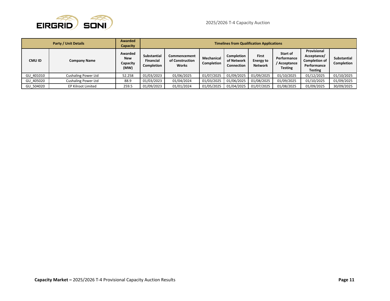

|           | <b>Party / Unit Details</b> | <b>Awarded</b><br><b>Capacity</b>         | <b>Timelines from Qualification Applications</b> |                                                 |                          |                                               |                                                    |                                                           |                                                                                     |                                  |
|-----------|-----------------------------|-------------------------------------------|--------------------------------------------------|-------------------------------------------------|--------------------------|-----------------------------------------------|----------------------------------------------------|-----------------------------------------------------------|-------------------------------------------------------------------------------------|----------------------------------|
| CMU ID    | <b>Company Name</b>         | Awarded<br><b>New</b><br>Capacity<br>(MW) | Substantial<br><b>Financial</b><br>Completion    | Commencement<br>of Construction<br><b>Works</b> | Mechanical<br>Completion | Completion<br>of Network<br><b>Connection</b> | <b>First</b><br><b>Energy to</b><br><b>Network</b> | Start of<br>Performance<br>/ Acceptance<br><b>Testing</b> | Provisional<br>Acceptance/<br><b>Completion of</b><br>Performance<br><b>Testing</b> | <b>Substantial</b><br>Completion |
| GU 401010 | <b>Cushaling Power Ltd</b>  | 52.258                                    | 01/03/2023                                       | 01/06/2025                                      | 01/07/2025               | 01/09/2025                                    | 01/09/2025                                         | 01/10/2025                                                | 01/12/2025                                                                          | 01/10/2025                       |
| GU 405020 | <b>Cushaling Power Ltd</b>  | 88.9                                      | 01/03/2023                                       | 01/04/2024                                      | 01/03/2025               | 01/06/2025                                    | 01/08/2025                                         | 01/09/2025                                                | 01/10/2025                                                                          | 01/09/2025                       |
| GU 504020 | <b>EP Kilroot Limited</b>   | 259.5                                     | 01/09/2023                                       | 01/01/2024                                      | 01/05/2025               | 01/04/2025                                    | 01/07/2025                                         | 01/08/2025                                                | 01/09/2025                                                                          | 30/09/2025                       |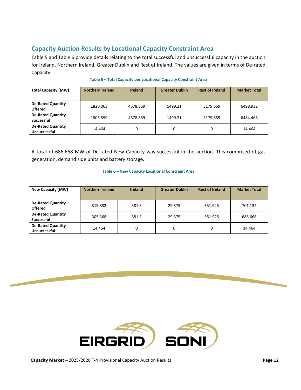## <span id="page-11-0"></span>**Capacity Auction Results by Locational Capacity Constraint Area**

[Table 5](#page-11-1) an[d Table 6](#page-11-2) provide details relating to the total successful and unsuccessful capacity in the auction for Ireland, Northern Ireland, Greater Dublin and Rest of Ireland. The values are given in terms of De-rated Capacity.

<span id="page-11-1"></span>

| <b>Total Capacity (MW)</b>                    | <b>Northern Ireland</b> | <b>Ireland</b> | <b>Greater Dublin</b> | <b>Rest of Ireland</b> | <b>Market Total</b> |
|-----------------------------------------------|-------------------------|----------------|-----------------------|------------------------|---------------------|
| <b>De-Rated Quantity</b><br><b>Offered</b>    | 1820.063                | 4678.869       | 1499.21               | 3179.659               | 6498.932            |
| <b>De-Rated Quantity</b><br><b>Successful</b> | 1805.599                | 4678.869       | 1499.21               | 3179.659               | 6484.468            |
| <b>De-Rated Quantity</b><br>Unsuccessful      | 14.464                  | 0              |                       | 0                      | 14.464              |

#### **Table 5 – Total Capacity per Locational Capacity Constraint Area**

A total of 686.668 MW of De-rated New Capacity was successful in the auction. This comprised of gas generation, demand side units and battery storage.

#### **Table 6 – New Capacity Locational Constraint Area**

<span id="page-11-2"></span>

| New Capacity (MW)                               | <b>Northern Ireland</b> | <b>Ireland</b> | <b>Greater Dublin</b> | <b>Rest of Ireland</b> | <b>Market Total</b> |
|-------------------------------------------------|-------------------------|----------------|-----------------------|------------------------|---------------------|
| <b>De-Rated Quantity</b><br><b>Offered</b>      | 319.832                 | 381.3          | 29.375                | 351.925                | 701.132             |
| <b>De-Rated Quantity</b><br><b>Successful</b>   | 305.368                 | 381.3          | 29.375                | 351.925                | 686.668             |
| <b>De-Rated Quantity</b><br><b>Unsuccessful</b> | 14.464                  | 0              | 0                     | 0                      | 14.464              |

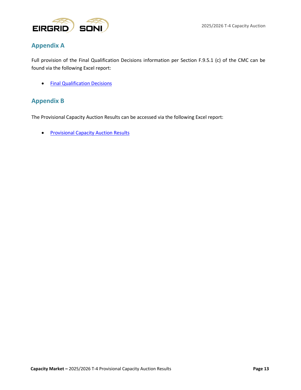

## <span id="page-12-0"></span>**Appendix A**

Full provision of the Final Qualification Decisions information per Section F.9.5.1 (c) of the CMC can be found via the following Excel report:

• [Final Qualification Decisions](https://www.sem-o.com/documents/general-publications/Final-Qualification-Decisions_T-4_25-26_Appendix_A.xlsx)

### <span id="page-12-1"></span>**Appendix B**

The Provisional Capacity Auction Results can be accessed via the following Excel report:

• [Provisional Capacity Auction Results](https://www.sem-o.com/documents/general-publications/Provisional_Auction_Results_T-4_25-26_Appendix_B.xlsx)